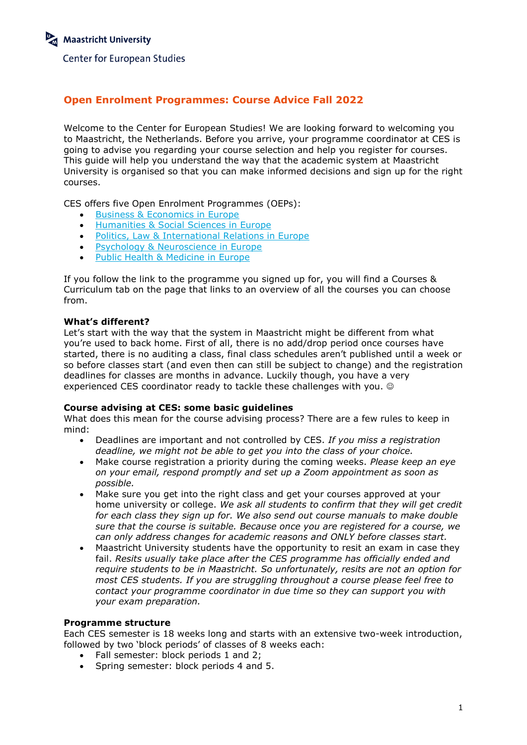# **Open Enrolment Programmes: Course Advice Fall 2022**

Welcome to the Center for European Studies! We are looking forward to welcoming you to Maastricht, the Netherlands. Before you arrive, your programme coordinator at CES is going to advise you regarding your course selection and help you register for courses. This guide will help you understand the way that the academic system at Maastricht University is organised so that you can make informed decisions and sign up for the right courses.

CES offers five Open Enrolment Programmes (OEPs):

- Business & [Economics in Europe](https://www.maastrichtuniversity.nl/education/contract/business-economics-europe)
- Humanities & [Social Sciences in Europe](https://www.maastrichtuniversity.nl/education/contract/humanities-social-sciences-europe)
- [Politics, Law & International Relations in Europe](https://www.maastrichtuniversity.nl/education/contract/politics-law-international-relations-europe)
- **•** [Psychology & Neuroscience in Europe](https://www.maastrichtuniversity.nl/education/contract/psychology-neuroscience-europe)
- [Public Health & Medicine in Europe](https://www.maastrichtuniversity.nl/education/contract/public-health-medicine-europe)

If you follow the link to the programme you signed up for, you will find a Courses & Curriculum tab on the page that links to an overview of all the courses you can choose from.

## **What's different?**

Let's start with the way that the system in Maastricht might be different from what you're used to back home. First of all, there is no add/drop period once courses have started, there is no auditing a class, final class schedules aren't published until a week or so before classes start (and even then can still be subject to change) and the registration deadlines for classes are months in advance. Luckily though, you have a very experienced CES coordinator ready to tackle these challenges with you.

## **Course advising at CES: some basic guidelines**

What does this mean for the course advising process? There are a few rules to keep in mind:

- Deadlines are important and not controlled by CES. *If you miss a registration deadline, we might not be able to get you into the class of your choice.*
- Make course registration a priority during the coming weeks. *Please keep an eye on your email, respond promptly and set up a Zoom appointment as soon as possible.*
- Make sure you get into the right class and get your courses approved at your home university or college. *We ask all students to confirm that they will get credit for each class they sign up for. We also send out course manuals to make double sure that the course is suitable. Because once you are registered for a course, we can only address changes for academic reasons and ONLY before classes start.*
- Maastricht University students have the opportunity to resit an exam in case they fail. *Resits usually take place after the CES programme has officially ended and require students to be in Maastricht. So unfortunately, resits are not an option for most CES students. If you are struggling throughout a course please feel free to contact your programme coordinator in due time so they can support you with your exam preparation.*

## **Programme structure**

Each CES semester is 18 weeks long and starts with an extensive two-week introduction, followed by two 'block periods' of classes of 8 weeks each:

- Fall semester: block periods 1 and 2:
- Spring semester: block periods 4 and 5.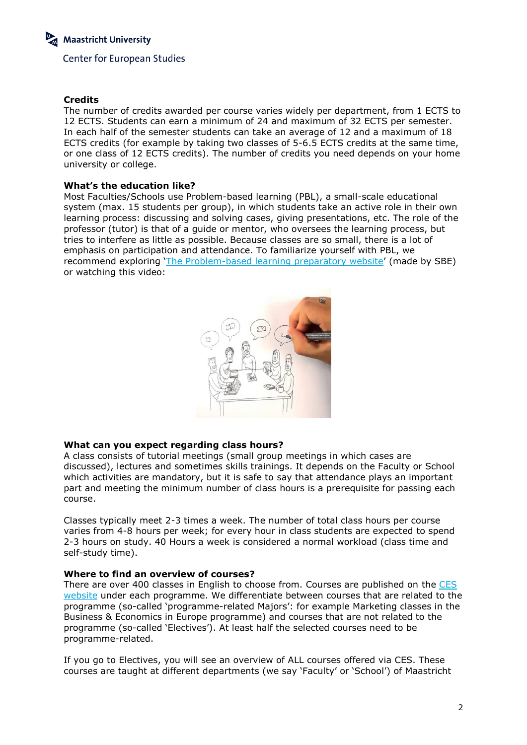# **Credits**

The number of credits awarded per course varies widely per department, from 1 ECTS to 12 ECTS. Students can earn a minimum of 24 and maximum of 32 ECTS per semester. In each half of the semester students can take an average of 12 and a maximum of 18 ECTS credits (for example by taking two classes of 5-6.5 ECTS credits at the same time, or one class of 12 ECTS credits). The number of credits you need depends on your home university or college.

## **What's the education like?**

Most Faculties/Schools use Problem-based learning (PBL), a small-scale educational system (max. 15 students per group), in which students take an active role in their own learning process: discussing and solving cases, giving presentations, etc. The role of the professor (tutor) is that of a guide or mentor, who oversees the learning process, but tries to interfere as little as possible. Because classes are so small, there is a lot of emphasis on participation and attendance. To familiarize yourself with PBL, we recommend exploring '[The Problem-based learning preparatory website](http://sbe.maastrichtuniversity.nl/umpblprep/pbl-system/)' (made by SBE) or watching this video:



# **What can you expect regarding class hours?**

A class consists of tutorial meetings (small group meetings in which cases are discussed), lectures and sometimes skills trainings. It depends on the Faculty or School which activities are mandatory, but it is safe to say that attendance plays an important part and meeting the minimum number of class hours is a prerequisite for passing each course.

Classes typically meet 2-3 times a week. The number of total class hours per course varies from 4-8 hours per week; for every hour in class students are expected to spend 2-3 hours on study. 40 Hours a week is considered a normal workload (class time and self-study time).

## **Where to find an overview of courses?**

There are over 400 classes in English to choose from. Courses are published on the [CES](https://www.maastrichtuniversity.nl/ces)  [website](https://www.maastrichtuniversity.nl/ces) under each programme. We differentiate between courses that are related to the programme (so-called 'programme-related Majors': for example Marketing classes in the Business & Economics in Europe programme) and courses that are not related to the programme (so-called 'Electives'). At least half the selected courses need to be programme-related.

If you go to Electives, you will see an overview of ALL courses offered via CES. These courses are taught at different departments (we say 'Faculty' or 'School') of Maastricht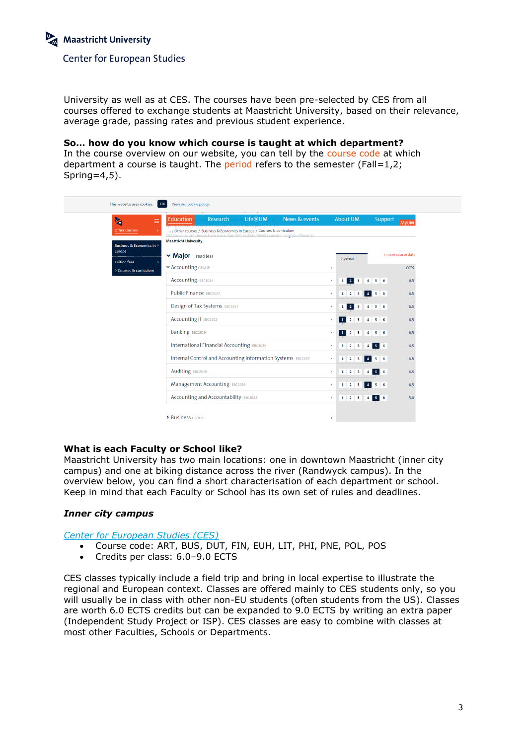University as well as at CES. The courses have been pre-selected by CES from all courses offered to exchange students at Maastricht University, based on their relevance, average grade, passing rates and previous student experience.

**So… how do you know which course is taught at which department?**

In the course overview on our website, you can tell by the course code at which department a course is taught. The period refers to the semester (Fall=1,2; Spring= $4,5$ ).



# **What is each Faculty or School like?**

Maastricht University has two main locations: one in downtown Maastricht (inner city campus) and one at biking distance across the river (Randwyck campus). In the overview below, you can find a short characterisation of each department or school. Keep in mind that each Faculty or School has its own set of rules and deadlines.

# *Inner city campus*

*[Center for European Studies \(CES\)](https://www.maastrichtuniversity.nl/about-um/units/center-european-studies)*

- Course code: ART, BUS, DUT, FIN, EUH, LIT, PHI, PNE, POL, POS
- Credits per class: 6.0–9.0 ECTS

CES classes typically include a field trip and bring in local expertise to illustrate the regional and European context. Classes are offered mainly to CES students only, so you will usually be in class with other non-EU students (often students from the US). Classes are worth 6.0 ECTS credits but can be expanded to 9.0 ECTS by writing an extra paper (Independent Study Project or ISP). CES classes are easy to combine with classes at most other Faculties, Schools or Departments.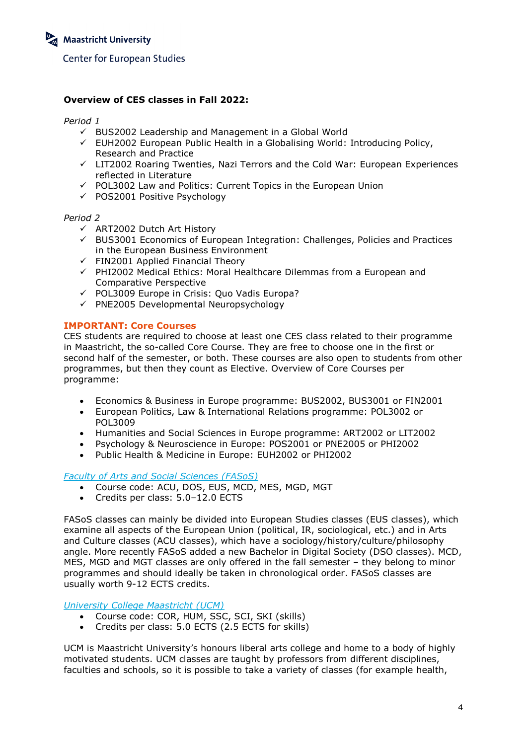# **Overview of CES classes in Fall 2022:**

*Period 1*

- $\checkmark$  BUS2002 Leadership and Management in a Global World
- $\checkmark$  EUH2002 European Public Health in a Globalising World: Introducing Policy, Research and Practice
- $\checkmark$  LIT2002 Roaring Twenties, Nazi Terrors and the Cold War: European Experiences reflected in Literature
- $\checkmark$  POL3002 Law and Politics: Current Topics in the European Union
- $\checkmark$  POS2001 Positive Psychology

#### *Period 2*

- $\checkmark$  ART2002 Dutch Art History
- $\checkmark$  BUS3001 Economics of European Integration: Challenges, Policies and Practices in the European Business Environment
- $\checkmark$  FIN2001 Applied Financial Theory
- $\checkmark$  PHI2002 Medical Ethics: Moral Healthcare Dilemmas from a European and Comparative Perspective
- $\checkmark$  POL3009 Europe in Crisis: Quo Vadis Europa?
- $\checkmark$  PNE2005 Developmental Neuropsychology

#### **IMPORTANT: Core Courses**

CES students are required to choose at least one CES class related to their programme in Maastricht, the so-called Core Course. They are free to choose one in the first or second half of the semester, or both. These courses are also open to students from other programmes, but then they count as Elective. Overview of Core Courses per programme:

- Economics & Business in Europe programme: BUS2002, BUS3001 or FIN2001
- European Politics, Law & International Relations programme: POL3002 or POL3009
- Humanities and Social Sciences in Europe programme: ART2002 or LIT2002
- Psychology & Neuroscience in Europe: POS2001 or PNE2005 or PHI2002
- Public Health & Medicine in Europe: EUH2002 or PHI2002

#### *[Faculty of Arts and Social Sciences \(FASoS\)](https://www.maastrichtuniversity.nl/about-um/faculties/faculty-arts-and-social-sciences)*

- Course code: ACU, DOS, EUS, MCD, MES, MGD, MGT
- Credits per class: 5.0–12.0 ECTS

FASoS classes can mainly be divided into European Studies classes (EUS classes), which examine all aspects of the European Union (political, IR, sociological, etc.) and in Arts and Culture classes (ACU classes), which have a sociology/history/culture/philosophy angle. More recently FASoS added a new Bachelor in Digital Society (DSO classes). MCD, MES, MGD and MGT classes are only offered in the fall semester – they belong to minor programmes and should ideally be taken in chronological order. FASoS classes are usually worth 9-12 ECTS credits.

## *[University College Maastricht \(UCM\)](https://www.maastrichtuniversity.nl/education/bachelor/bachelor-university-college-maastricht)*

- Course code: COR, HUM, SSC, SCI, SKI (skills)
- Credits per class: 5.0 ECTS (2.5 ECTS for skills)

UCM is Maastricht University's honours liberal arts college and home to a body of highly motivated students. UCM classes are taught by professors from different disciplines, faculties and schools, so it is possible to take a variety of classes (for example health,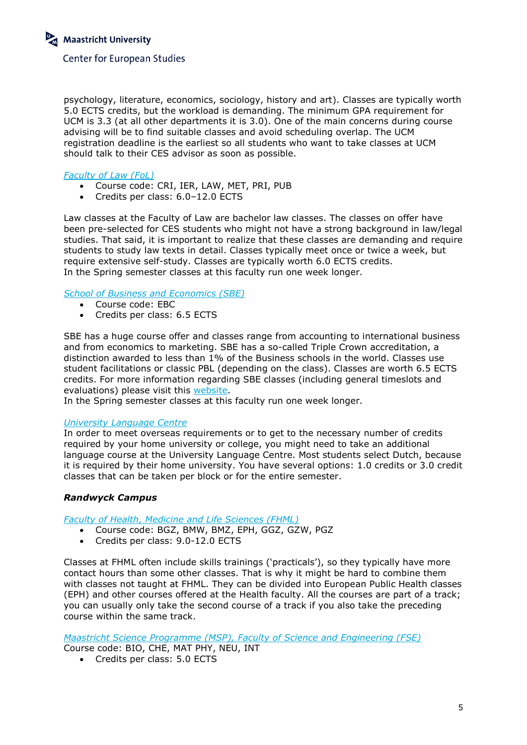psychology, literature, economics, sociology, history and art). Classes are typically worth 5.0 ECTS credits, but the workload is demanding. The minimum GPA requirement for UCM is 3.3 (at all other departments it is 3.0). One of the main concerns during course advising will be to find suitable classes and avoid scheduling overlap. The UCM registration deadline is the earliest so all students who want to take classes at UCM should talk to their CES advisor as soon as possible.

## *[Faculty of Law \(FoL\)](https://www.maastrichtuniversity.nl/about-um/faculties/faculty-law)*

- Course code: CRI, IER, LAW, MET, PRI, PUB
- Credits per class: 6.0–12.0 ECTS

Law classes at the Faculty of Law are bachelor law classes. The classes on offer have been pre-selected for CES students who might not have a strong background in law/legal studies. That said, it is important to realize that these classes are demanding and require students to study law texts in detail. Classes typically meet once or twice a week, but require extensive self-study. Classes are typically worth 6.0 ECTS credits. In the Spring semester classes at this faculty run one week longer.

## *[School of Business and Economics \(SBE\)](https://www.maastrichtuniversity.nl/about-um/faculties/school-business-and-economics)*

- Course code: EBC
- Credits per class: 6.5 ECTS

SBE has a huge course offer and classes range from accounting to international business and from economics to marketing. SBE has a so-called Triple Crown accreditation, a distinction awarded to less than 1% of the Business schools in the world. Classes use student facilitations or classic PBL (depending on the class). Classes are worth 6.5 ECTS credits. For more information regarding SBE classes (including general timeslots and evaluations) please visit this [website.](http://code.unimaas.nl/Code/Selection?intCalendarID=27&intBAMA=3&intFacultyID=26)

In the Spring semester classes at this faculty run one week longer.

## *[University Language Centre](https://www.maastrichtuniversity.nl/about-um/other-offices/language-centre)*

In order to meet overseas requirements or to get to the necessary number of credits required by your home university or college, you might need to take an additional language course at the University Language Centre. Most students select Dutch, because it is required by their home university. You have several options: 1.0 credits or 3.0 credit classes that can be taken per block or for the entire semester.

## *Randwyck Campus*

*[Faculty of Health, Medicine and Life Sciences \(FHML\)](https://www.maastrichtuniversity.nl/about-um/faculties/faculty-health-medicine-and-life-sciences)*

- Course code: BGZ, BMW, BMZ, EPH, GGZ, GZW, PGZ
- Credits per class: 9.0-12.0 ECTS

Classes at FHML often include skills trainings ('practicals'), so they typically have more contact hours than some other classes. That is why it might be hard to combine them with classes not taught at FHML. They can be divided into European Public Health classes (EPH) and other courses offered at the Health faculty. All the courses are part of a track; you can usually only take the second course of a track if you also take the preceding course within the same track.

*[Maastricht Science Programme \(MSP\), Faculty of Science and Engineering \(FSE\)](https://www.maastrichtuniversity.nl/education/bachelor/maastricht-science-programme)* Course code: BIO, CHE, MAT PHY, NEU, INT

• Credits per class: 5.0 ECTS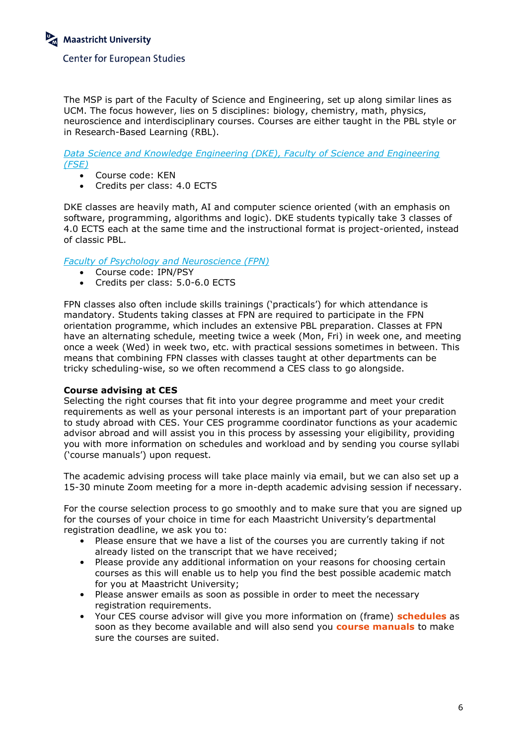The MSP is part of the Faculty of Science and Engineering, set up along similar lines as UCM. The focus however, lies on 5 disciplines: biology, chemistry, math, physics, neuroscience and interdisciplinary courses. Courses are either taught in the PBL style or in Research-Based Learning (RBL).

*Data [Science and Knowledge Engineering \(DKE\), Faculty of Science and Engineering](https://www.maastrichtuniversity.nl/research/department-data-science-and-knowledge-engineering-dke)  [\(FSE\)](https://www.maastrichtuniversity.nl/research/department-data-science-and-knowledge-engineering-dke)*

- Course code: KEN
- Credits per class: 4.0 ECTS

DKE classes are heavily math, AI and computer science oriented (with an emphasis on software, programming, algorithms and logic). DKE students typically take 3 classes of 4.0 ECTS each at the same time and the instructional format is project-oriented, instead of classic PBL.

*Faculty [of Psychology and Neuroscience \(FPN\)](https://www.maastrichtuniversity.nl/about-um/faculties/faculty-psychology-and-neuroscience)*

- Course code: IPN/PSY
- Credits per class: 5.0-6.0 ECTS

FPN classes also often include skills trainings ('practicals') for which attendance is mandatory. Students taking classes at FPN are required to participate in the FPN orientation programme, which includes an extensive PBL preparation. Classes at FPN have an alternating schedule, meeting twice a week (Mon, Fri) in week one, and meeting once a week (Wed) in week two, etc. with practical sessions sometimes in between. This means that combining FPN classes with classes taught at other departments can be tricky scheduling-wise, so we often recommend a CES class to go alongside.

## **Course advising at CES**

Selecting the right courses that fit into your degree programme and meet your credit requirements as well as your personal interests is an important part of your preparation to study abroad with CES. Your CES programme coordinator functions as your academic advisor abroad and will assist you in this process by assessing your eligibility, providing you with more information on schedules and workload and by sending you course syllabi ('course manuals') upon request.

The academic advising process will take place mainly via email, but we can also set up a 15-30 minute Zoom meeting for a more in-depth academic advising session if necessary.

For the course selection process to go smoothly and to make sure that you are signed up for the courses of your choice in time for each Maastricht University's departmental registration deadline, we ask you to:

- Please ensure that we have a list of the courses you are currently taking if not already listed on the transcript that we have received;
- Please provide any additional information on your reasons for choosing certain courses as this will enable us to help you find the best possible academic match for you at Maastricht University;
- Please answer emails as soon as possible in order to meet the necessary registration requirements.
- Your CES course advisor will give you more information on (frame) **schedules** as soon as they become available and will also send you **course manuals** to make sure the courses are suited.